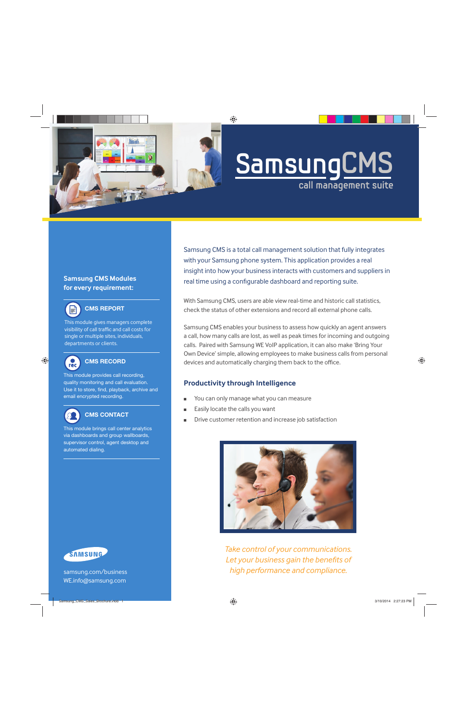

# **Samsung CMS call management suite**

## **Samsung CMS Modules for every requirement:**



# **CMS REPORT**

This module gives managers complete visibility of call traffic and call costs for single or multiple sites, individuals, departments or clients.



# **CMS RECORD**

This module provides call recording, quality monitoring and call evaluation. Use it to store, find, playback, archive and email encrypted recording.



### **CMS CONTACT**

This module brings call center analytics via dashboards and group wallboards, supervisor control, agent desktop and automated dialing.



With Samsung CMS, users are able view real-time and historic call statistics, check the status of other extensions and record all external phone calls.

Samsung CMS enables your business to assess how quickly an agent answers a call, how many calls are lost, as well as peak times for incoming and outgoing calls. Paired with Samsung WE VoIP application, it can also make 'Bring Your Own Device' simple, allowing employees to make business calls from personal devices and automatically charging them back to the o ffi ce.

# **Productivity through Intelligence**

- You can only manage what you can measure
- Easily locate the calls you want
- Drive customer retention and increase job satisfaction



*Take control of your communications. Let your business gain the bene fi ts of high performance and compliance.*



samsung.com/business WE.info@samsung.com